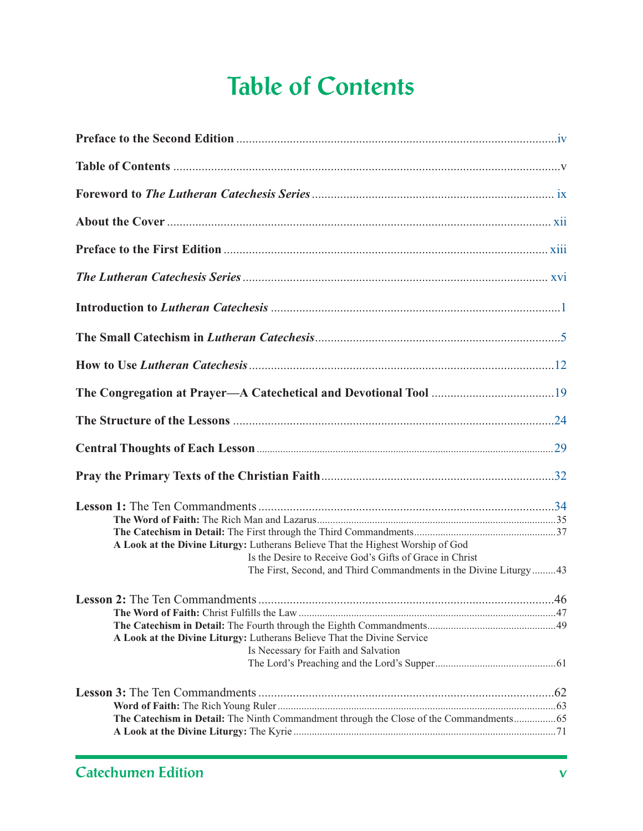## **Table of Contents**

| A Look at the Divine Liturgy: Lutherans Believe That the Highest Worship of God<br>Is the Desire to Receive God's Gifts of Grace in Christ<br>The First, Second, and Third Commandments in the Divine Liturgy43 |  |
|-----------------------------------------------------------------------------------------------------------------------------------------------------------------------------------------------------------------|--|
| A Look at the Divine Liturgy: Lutherans Believe That the Divine Service<br>Is Necessary for Faith and Salvation                                                                                                 |  |
|                                                                                                                                                                                                                 |  |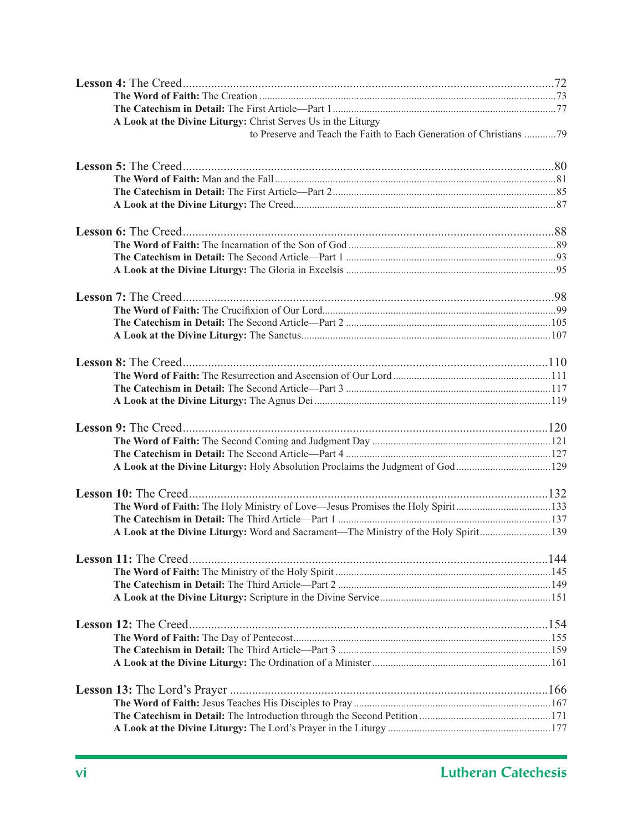| A Look at the Divine Liturgy: Christ Serves Us in the Liturgy                       |  |
|-------------------------------------------------------------------------------------|--|
| to Preserve and Teach the Faith to Each Generation of Christians 79                 |  |
|                                                                                     |  |
|                                                                                     |  |
|                                                                                     |  |
|                                                                                     |  |
|                                                                                     |  |
|                                                                                     |  |
|                                                                                     |  |
|                                                                                     |  |
|                                                                                     |  |
|                                                                                     |  |
|                                                                                     |  |
|                                                                                     |  |
|                                                                                     |  |
|                                                                                     |  |
|                                                                                     |  |
|                                                                                     |  |
|                                                                                     |  |
|                                                                                     |  |
|                                                                                     |  |
|                                                                                     |  |
|                                                                                     |  |
| A Look at the Divine Liturgy: Holy Absolution Proclaims the Judgment of God129      |  |
|                                                                                     |  |
| The Word of Faith: The Holy Ministry of Love—Jesus Promises the Holy Spirit133      |  |
|                                                                                     |  |
| A Look at the Divine Liturgy: Word and Sacrament—The Ministry of the Holy Spirit139 |  |
|                                                                                     |  |
|                                                                                     |  |
|                                                                                     |  |
|                                                                                     |  |
|                                                                                     |  |
|                                                                                     |  |
|                                                                                     |  |
|                                                                                     |  |
|                                                                                     |  |
|                                                                                     |  |
|                                                                                     |  |
|                                                                                     |  |
|                                                                                     |  |
|                                                                                     |  |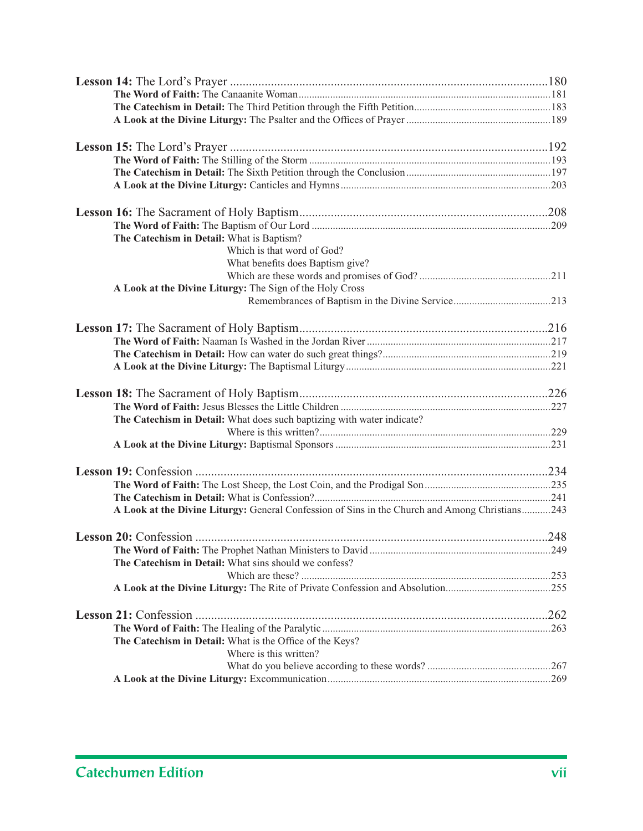| The Catechism in Detail: What is Baptism?                                                      |  |
|------------------------------------------------------------------------------------------------|--|
| Which is that word of God?                                                                     |  |
| What benefits does Baptism give?                                                               |  |
|                                                                                                |  |
| A Look at the Divine Liturgy: The Sign of the Holy Cross                                       |  |
|                                                                                                |  |
|                                                                                                |  |
|                                                                                                |  |
|                                                                                                |  |
|                                                                                                |  |
|                                                                                                |  |
|                                                                                                |  |
| The Catechism in Detail: What does such baptizing with water indicate?                         |  |
|                                                                                                |  |
|                                                                                                |  |
|                                                                                                |  |
|                                                                                                |  |
|                                                                                                |  |
| A Look at the Divine Liturgy: General Confession of Sins in the Church and Among Christians243 |  |
|                                                                                                |  |
|                                                                                                |  |
| The Catechism in Detail: What sins should we confess?                                          |  |
|                                                                                                |  |
| A Look at the Divine Liturgy: The Rite of Private Confession and Absolution255                 |  |
|                                                                                                |  |
|                                                                                                |  |
| The Catechism in Detail: What is the Office of the Keys?                                       |  |
| Where is this written?                                                                         |  |
|                                                                                                |  |
|                                                                                                |  |
|                                                                                                |  |